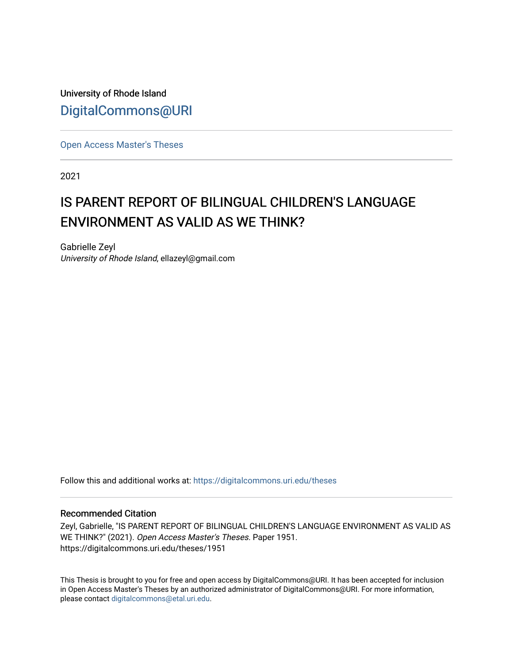University of Rhode Island [DigitalCommons@URI](https://digitalcommons.uri.edu/) 

[Open Access Master's Theses](https://digitalcommons.uri.edu/theses) 

2021

# IS PARENT REPORT OF BILINGUAL CHILDREN'S LANGUAGE ENVIRONMENT AS VALID AS WE THINK?

Gabrielle Zeyl University of Rhode Island, ellazeyl@gmail.com

Follow this and additional works at: [https://digitalcommons.uri.edu/theses](https://digitalcommons.uri.edu/theses?utm_source=digitalcommons.uri.edu%2Ftheses%2F1951&utm_medium=PDF&utm_campaign=PDFCoverPages)

### Recommended Citation

Zeyl, Gabrielle, "IS PARENT REPORT OF BILINGUAL CHILDREN'S LANGUAGE ENVIRONMENT AS VALID AS WE THINK?" (2021). Open Access Master's Theses. Paper 1951. https://digitalcommons.uri.edu/theses/1951

This Thesis is brought to you for free and open access by DigitalCommons@URI. It has been accepted for inclusion in Open Access Master's Theses by an authorized administrator of DigitalCommons@URI. For more information, please contact [digitalcommons@etal.uri.edu.](mailto:digitalcommons@etal.uri.edu)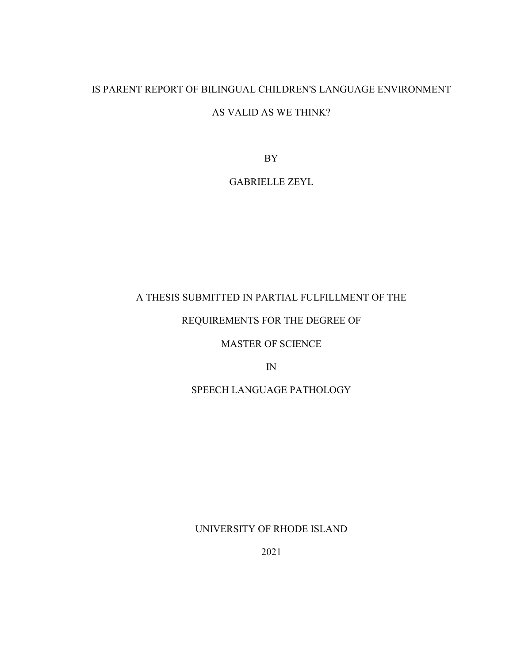# IS PARENT REPORT OF BILINGUAL CHILDREN'S LANGUAGE ENVIRONMENT

# AS VALID AS WE THINK?

BY

# GABRIELLE ZEYL

# A THESIS SUBMITTED IN PARTIAL FULFILLMENT OF THE

# REQUIREMENTS FOR THE DEGREE OF

# MASTER OF SCIENCE

IN

# SPEECH LANGUAGE PATHOLOGY

UNIVERSITY OF RHODE ISLAND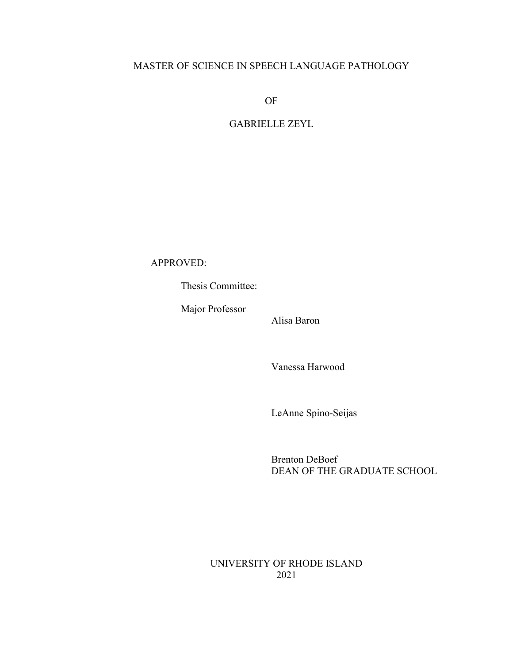# MASTER OF SCIENCE IN SPEECH LANGUAGE PATHOLOGY

OF

# GABRIELLE ZEYL

APPROVED:

Thesis Committee:

Major Professor

Alisa Baron

Vanessa Harwood

LeAnne Spino-Seijas

Brenton DeBoef DEAN OF THE GRADUATE SCHOOL

UNIVERSITY OF RHODE ISLAND 2021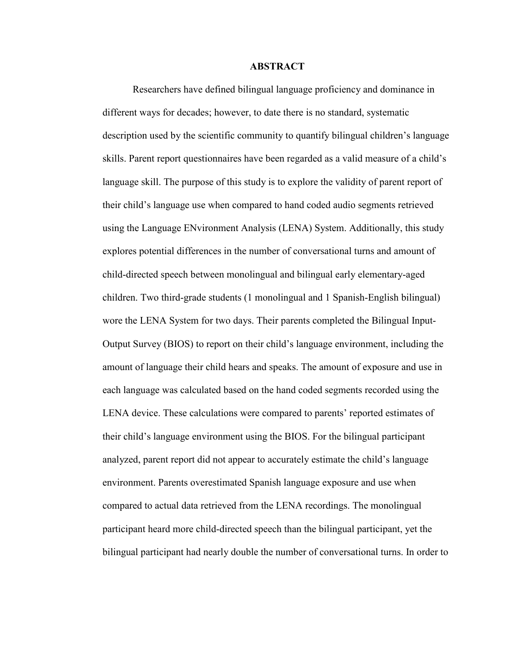#### **ABSTRACT**

Researchers have defined bilingual language proficiency and dominance in different ways for decades; however, to date there is no standard, systematic description used by the scientific community to quantify bilingual children's language skills. Parent report questionnaires have been regarded as a valid measure of a child's language skill. The purpose of this study is to explore the validity of parent report of their child's language use when compared to hand coded audio segments retrieved using the Language ENvironment Analysis (LENA) System. Additionally, this study explores potential differences in the number of conversational turns and amount of child-directed speech between monolingual and bilingual early elementary-aged children. Two third-grade students (1 monolingual and 1 Spanish-English bilingual) wore the LENA System for two days. Their parents completed the Bilingual Input-Output Survey (BIOS) to report on their child's language environment, including the amount of language their child hears and speaks. The amount of exposure and use in each language was calculated based on the hand coded segments recorded using the LENA device. These calculations were compared to parents' reported estimates of their child's language environment using the BIOS. For the bilingual participant analyzed, parent report did not appear to accurately estimate the child's language environment. Parents overestimated Spanish language exposure and use when compared to actual data retrieved from the LENA recordings. The monolingual participant heard more child-directed speech than the bilingual participant, yet the bilingual participant had nearly double the number of conversational turns. In order to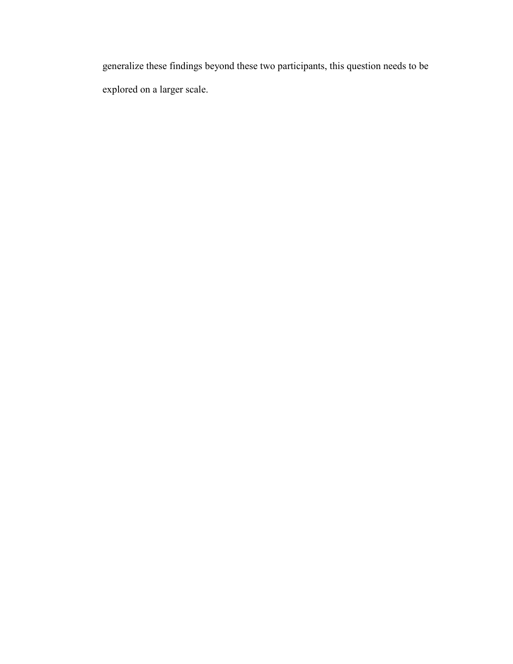generalize these findings beyond these two participants, this question needs to be explored on a larger scale.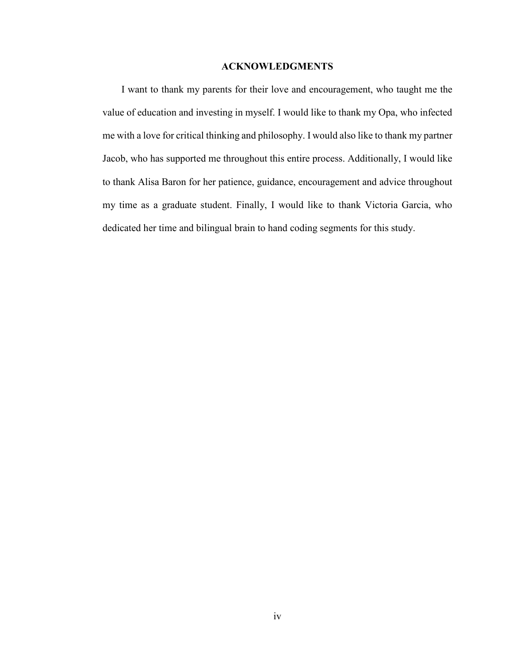### **ACKNOWLEDGMENTS**

I want to thank my parents for their love and encouragement, who taught me the value of education and investing in myself. I would like to thank my Opa, who infected me with a love for critical thinking and philosophy. I would also like to thank my partner Jacob, who has supported me throughout this entire process. Additionally, I would like to thank Alisa Baron for her patience, guidance, encouragement and advice throughout my time as a graduate student. Finally, I would like to thank Victoria Garcia, who dedicated her time and bilingual brain to hand coding segments for this study.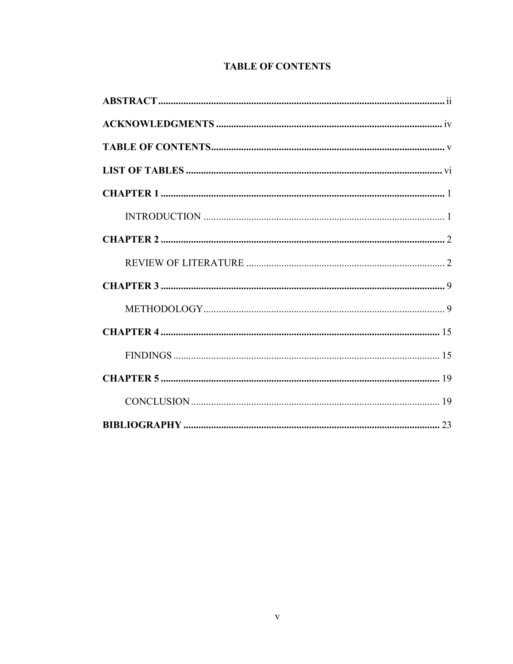# **TABLE OF CONTENTS**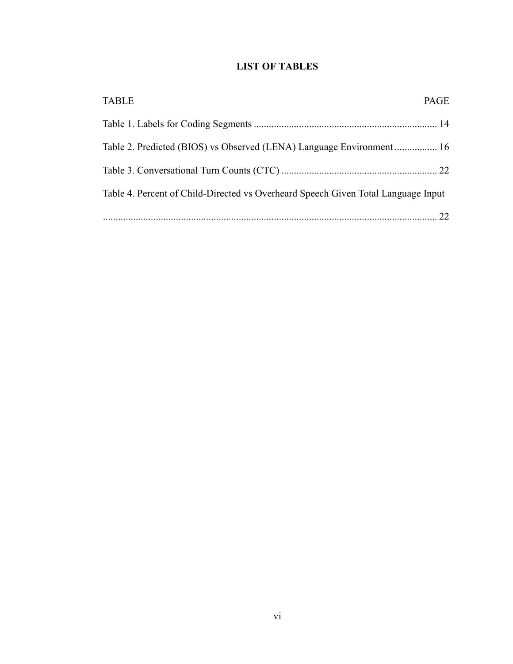# **LIST OF TABLES**

| <b>TABLE</b>                                                                      | PAGE |
|-----------------------------------------------------------------------------------|------|
|                                                                                   |      |
| Table 2. Predicted (BIOS) vs Observed (LENA) Language Environment  16             |      |
|                                                                                   |      |
| Table 4. Percent of Child-Directed vs Overheard Speech Given Total Language Input |      |
|                                                                                   |      |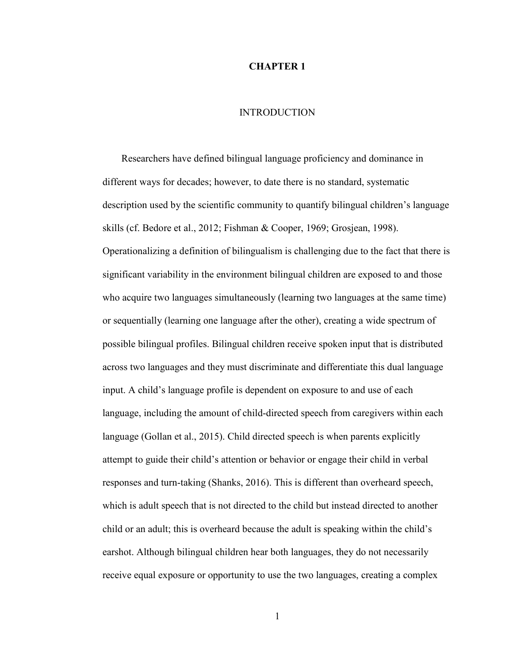### **CHAPTER 1**

# **INTRODUCTION**

Researchers have defined bilingual language proficiency and dominance in different ways for decades; however, to date there is no standard, systematic description used by the scientific community to quantify bilingual children's language skills (cf. Bedore et al., 2012; Fishman & Cooper, 1969; Grosjean, 1998). Operationalizing a definition of bilingualism is challenging due to the fact that there is significant variability in the environment bilingual children are exposed to and those who acquire two languages simultaneously (learning two languages at the same time) or sequentially (learning one language after the other), creating a wide spectrum of possible bilingual profiles. Bilingual children receive spoken input that is distributed across two languages and they must discriminate and differentiate this dual language input. A child's language profile is dependent on exposure to and use of each language, including the amount of child-directed speech from caregivers within each language (Gollan et al., 2015). Child directed speech is when parents explicitly attempt to guide their child's attention or behavior or engage their child in verbal responses and turn-taking (Shanks, 2016). This is different than overheard speech, which is adult speech that is not directed to the child but instead directed to another child or an adult; this is overheard because the adult is speaking within the child's earshot. Although bilingual children hear both languages, they do not necessarily receive equal exposure or opportunity to use the two languages, creating a complex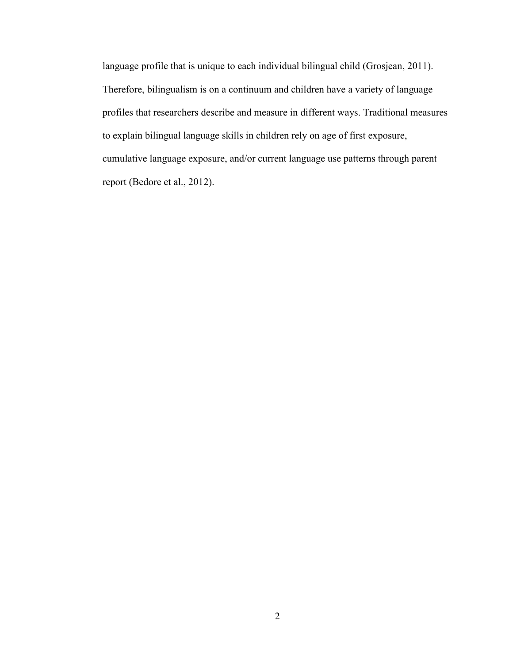language profile that is unique to each individual bilingual child (Grosjean, 2011). Therefore, bilingualism is on a continuum and children have a variety of language profiles that researchers describe and measure in different ways. Traditional measures to explain bilingual language skills in children rely on age of first exposure, cumulative language exposure, and/or current language use patterns through parent report (Bedore et al., 2012).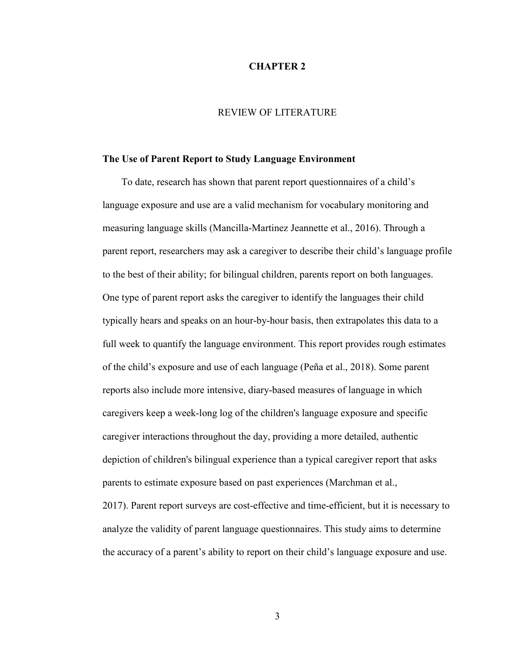#### **CHAPTER 2**

# REVIEW OF LITERATURE

### **The Use of Parent Report to Study Language Environment**

To date, research has shown that parent report questionnaires of a child's language exposure and use are a valid mechanism for vocabulary monitoring and measuring language skills (Mancilla-Martinez Jeannette et al., 2016). Through a parent report, researchers may ask a caregiver to describe their child's language profile to the best of their ability; for bilingual children, parents report on both languages. One type of parent report asks the caregiver to identify the languages their child typically hears and speaks on an hour-by-hour basis, then extrapolates this data to a full week to quantify the language environment. This report provides rough estimates of the child's exposure and use of each language (Peña et al., 2018). Some parent reports also include more intensive, diary-based measures of language in which caregivers keep a week-long log of the children's language exposure and specific caregiver interactions throughout the day, providing a more detailed, authentic depiction of children's bilingual experience than a typical caregiver report that asks parents to estimate exposure based on past experiences (Marchman et al., 2017). Parent report surveys are cost-effective and time-efficient, but it is necessary to analyze the validity of parent language questionnaires. This study aims to determine the accuracy of a parent's ability to report on their child's language exposure and use.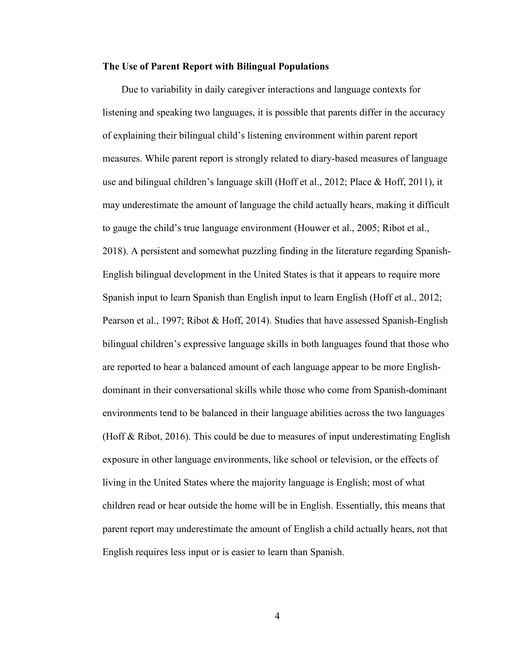#### **The Use of Parent Report with Bilingual Populations**

Due to variability in daily caregiver interactions and language contexts for listening and speaking two languages, it is possible that parents differ in the accuracy of explaining their bilingual child's listening environment within parent report measures. While parent report is strongly related to diary-based measures of language use and bilingual children's language skill (Hoff et al., 2012; Place & Hoff, 2011), it may underestimate the amount of language the child actually hears, making it difficult to gauge the child's true language environment (Houwer et al., 2005; Ribot et al., 2018). A persistent and somewhat puzzling finding in the literature regarding Spanish-English bilingual development in the United States is that it appears to require more Spanish input to learn Spanish than English input to learn English (Hoff et al., 2012; Pearson et al., 1997; Ribot & Hoff, 2014). Studies that have assessed Spanish-English bilingual children's expressive language skills in both languages found that those who are reported to hear a balanced amount of each language appear to be more Englishdominant in their conversational skills while those who come from Spanish-dominant environments tend to be balanced in their language abilities across the two languages (Hoff & Ribot, 2016). This could be due to measures of input underestimating English exposure in other language environments, like school or television, or the effects of living in the United States where the majority language is English; most of what children read or hear outside the home will be in English. Essentially, this means that parent report may underestimate the amount of English a child actually hears, not that English requires less input or is easier to learn than Spanish.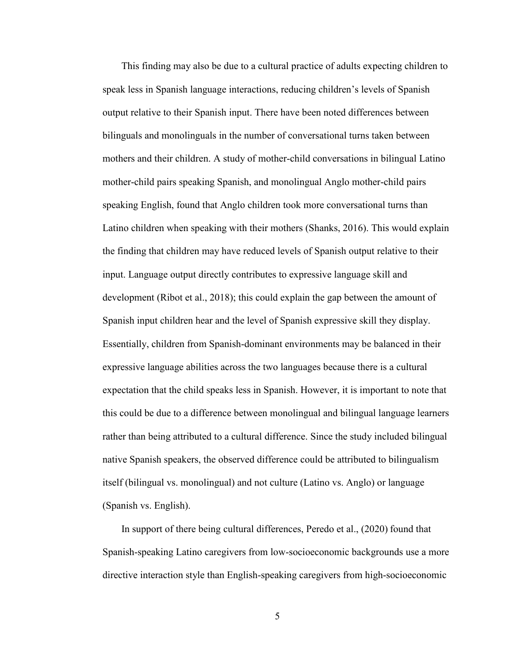This finding may also be due to a cultural practice of adults expecting children to speak less in Spanish language interactions, reducing children's levels of Spanish output relative to their Spanish input. There have been noted differences between bilinguals and monolinguals in the number of conversational turns taken between mothers and their children. A study of mother-child conversations in bilingual Latino mother-child pairs speaking Spanish, and monolingual Anglo mother-child pairs speaking English, found that Anglo children took more conversational turns than Latino children when speaking with their mothers (Shanks, 2016). This would explain the finding that children may have reduced levels of Spanish output relative to their input. Language output directly contributes to expressive language skill and development (Ribot et al., 2018); this could explain the gap between the amount of Spanish input children hear and the level of Spanish expressive skill they display. Essentially, children from Spanish-dominant environments may be balanced in their expressive language abilities across the two languages because there is a cultural expectation that the child speaks less in Spanish. However, it is important to note that this could be due to a difference between monolingual and bilingual language learners rather than being attributed to a cultural difference. Since the study included bilingual native Spanish speakers, the observed difference could be attributed to bilingualism itself (bilingual vs. monolingual) and not culture (Latino vs. Anglo) or language (Spanish vs. English).

In support of there being cultural differences, Peredo et al., (2020) found that Spanish-speaking Latino caregivers from low-socioeconomic backgrounds use a more directive interaction style than English-speaking caregivers from high-socioeconomic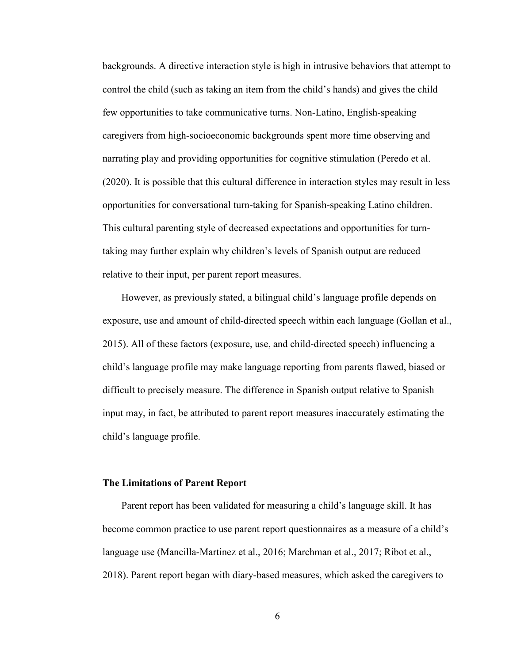backgrounds. A directive interaction style is high in intrusive behaviors that attempt to control the child (such as taking an item from the child's hands) and gives the child few opportunities to take communicative turns. Non-Latino, English-speaking caregivers from high-socioeconomic backgrounds spent more time observing and narrating play and providing opportunities for cognitive stimulation (Peredo et al. (2020). It is possible that this cultural difference in interaction styles may result in less opportunities for conversational turn-taking for Spanish-speaking Latino children. This cultural parenting style of decreased expectations and opportunities for turntaking may further explain why children's levels of Spanish output are reduced relative to their input, per parent report measures.

However, as previously stated, a bilingual child's language profile depends on exposure, use and amount of child-directed speech within each language (Gollan et al., 2015). All of these factors (exposure, use, and child-directed speech) influencing a child's language profile may make language reporting from parents flawed, biased or difficult to precisely measure. The difference in Spanish output relative to Spanish input may, in fact, be attributed to parent report measures inaccurately estimating the child's language profile.

#### **The Limitations of Parent Report**

Parent report has been validated for measuring a child's language skill. It has become common practice to use parent report questionnaires as a measure of a child's language use (Mancilla-Martinez et al., 2016; Marchman et al., 2017; Ribot et al., 2018). Parent report began with diary-based measures, which asked the caregivers to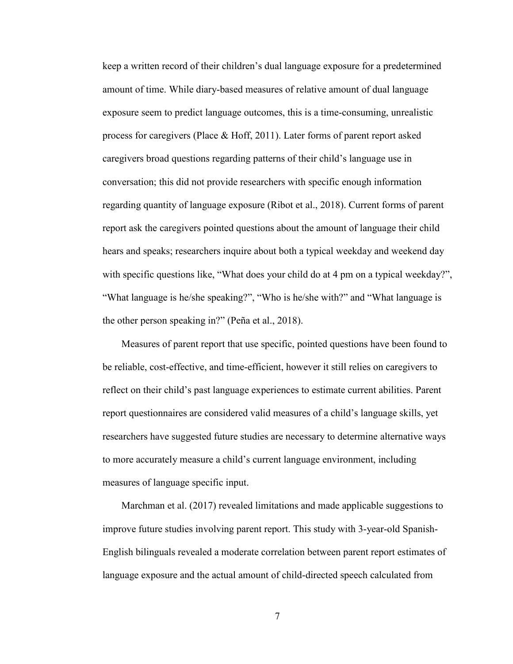keep a written record of their children's dual language exposure for a predetermined amount of time. While diary-based measures of relative amount of dual language exposure seem to predict language outcomes, this is a time-consuming, unrealistic process for caregivers (Place & Hoff, 2011). Later forms of parent report asked caregivers broad questions regarding patterns of their child's language use in conversation; this did not provide researchers with specific enough information regarding quantity of language exposure (Ribot et al., 2018). Current forms of parent report ask the caregivers pointed questions about the amount of language their child hears and speaks; researchers inquire about both a typical weekday and weekend day with specific questions like, "What does your child do at 4 pm on a typical weekday?", "What language is he/she speaking?", "Who is he/she with?" and "What language is the other person speaking in?" (Peña et al., 2018).

Measures of parent report that use specific, pointed questions have been found to be reliable, cost-effective, and time-efficient, however it still relies on caregivers to reflect on their child's past language experiences to estimate current abilities. Parent report questionnaires are considered valid measures of a child's language skills, yet researchers have suggested future studies are necessary to determine alternative ways to more accurately measure a child's current language environment, including measures of language specific input.

Marchman et al. (2017) revealed limitations and made applicable suggestions to improve future studies involving parent report. This study with 3-year-old Spanish-English bilinguals revealed a moderate correlation between parent report estimates of language exposure and the actual amount of child-directed speech calculated from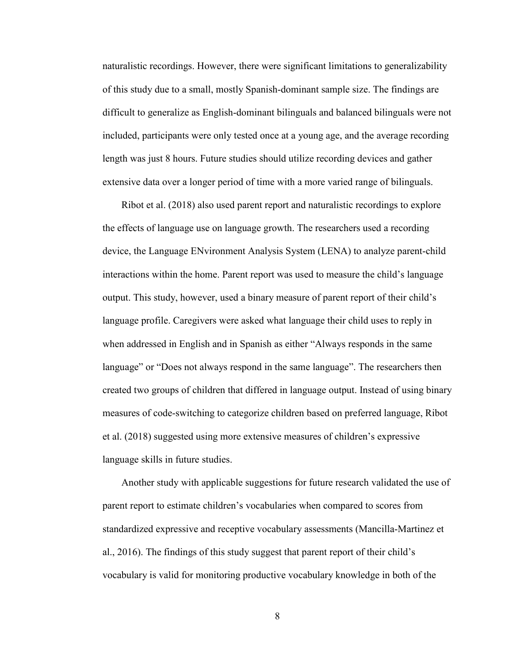naturalistic recordings. However, there were significant limitations to generalizability of this study due to a small, mostly Spanish-dominant sample size. The findings are difficult to generalize as English-dominant bilinguals and balanced bilinguals were not included, participants were only tested once at a young age, and the average recording length was just 8 hours. Future studies should utilize recording devices and gather extensive data over a longer period of time with a more varied range of bilinguals.

Ribot et al. (2018) also used parent report and naturalistic recordings to explore the effects of language use on language growth. The researchers used a recording device, the Language ENvironment Analysis System (LENA) to analyze parent-child interactions within the home. Parent report was used to measure the child's language output. This study, however, used a binary measure of parent report of their child's language profile. Caregivers were asked what language their child uses to reply in when addressed in English and in Spanish as either "Always responds in the same language" or "Does not always respond in the same language". The researchers then created two groups of children that differed in language output. Instead of using binary measures of code-switching to categorize children based on preferred language, Ribot et al. (2018) suggested using more extensive measures of children's expressive language skills in future studies.

Another study with applicable suggestions for future research validated the use of parent report to estimate children's vocabularies when compared to scores from standardized expressive and receptive vocabulary assessments (Mancilla-Martinez et al., 2016). The findings of this study suggest that parent report of their child's vocabulary is valid for monitoring productive vocabulary knowledge in both of the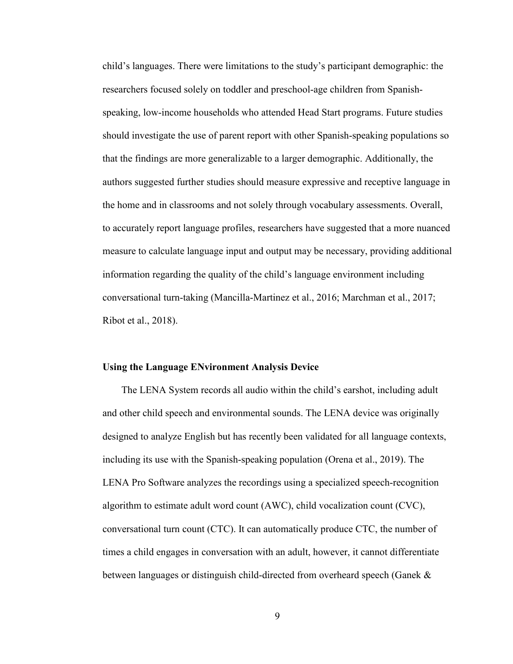child's languages. There were limitations to the study's participant demographic: the researchers focused solely on toddler and preschool-age children from Spanishspeaking, low-income households who attended Head Start programs. Future studies should investigate the use of parent report with other Spanish-speaking populations so that the findings are more generalizable to a larger demographic. Additionally, the authors suggested further studies should measure expressive and receptive language in the home and in classrooms and not solely through vocabulary assessments. Overall, to accurately report language profiles, researchers have suggested that a more nuanced measure to calculate language input and output may be necessary, providing additional information regarding the quality of the child's language environment including conversational turn-taking (Mancilla-Martinez et al., 2016; Marchman et al., 2017; Ribot et al., 2018).

#### **Using the Language ENvironment Analysis Device**

The LENA System records all audio within the child's earshot, including adult and other child speech and environmental sounds. The LENA device was originally designed to analyze English but has recently been validated for all language contexts, including its use with the Spanish-speaking population (Orena et al., 2019). The LENA Pro Software analyzes the recordings using a specialized speech-recognition algorithm to estimate adult word count (AWC), child vocalization count (CVC), conversational turn count (CTC). It can automatically produce CTC, the number of times a child engages in conversation with an adult, however, it cannot differentiate between languages or distinguish child-directed from overheard speech (Ganek &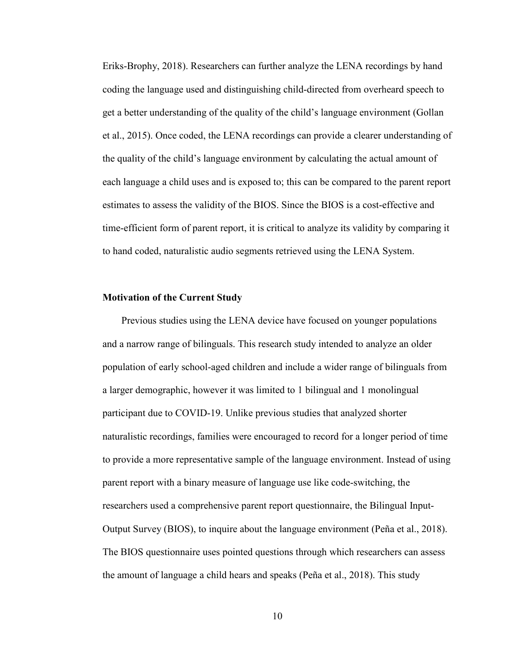Eriks-Brophy, 2018). Researchers can further analyze the LENA recordings by hand coding the language used and distinguishing child-directed from overheard speech to get a better understanding of the quality of the child's language environment (Gollan et al., 2015). Once coded, the LENA recordings can provide a clearer understanding of the quality of the child's language environment by calculating the actual amount of each language a child uses and is exposed to; this can be compared to the parent report estimates to assess the validity of the BIOS. Since the BIOS is a cost-effective and time-efficient form of parent report, it is critical to analyze its validity by comparing it to hand coded, naturalistic audio segments retrieved using the LENA System.

#### **Motivation of the Current Study**

Previous studies using the LENA device have focused on younger populations and a narrow range of bilinguals. This research study intended to analyze an older population of early school-aged children and include a wider range of bilinguals from a larger demographic, however it was limited to 1 bilingual and 1 monolingual participant due to COVID-19. Unlike previous studies that analyzed shorter naturalistic recordings, families were encouraged to record for a longer period of time to provide a more representative sample of the language environment. Instead of using parent report with a binary measure of language use like code-switching, the researchers used a comprehensive parent report questionnaire, the Bilingual Input-Output Survey (BIOS), to inquire about the language environment (Peña et al., 2018). The BIOS questionnaire uses pointed questions through which researchers can assess the amount of language a child hears and speaks (Peña et al., 2018). This study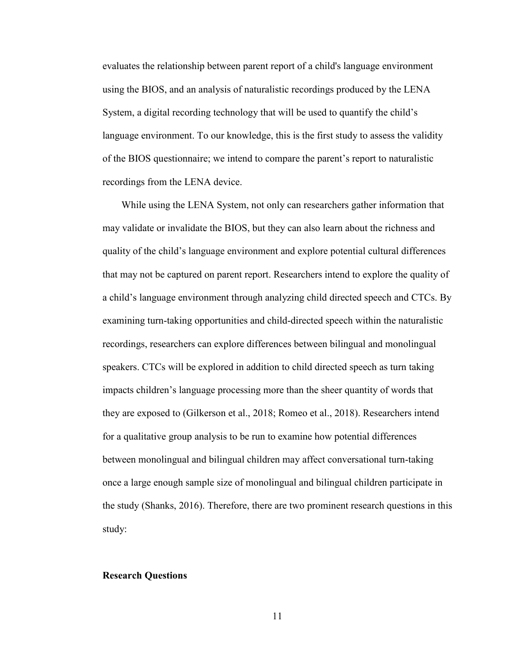evaluates the relationship between parent report of a child's language environment using the BIOS, and an analysis of naturalistic recordings produced by the LENA System, a digital recording technology that will be used to quantify the child's language environment. To our knowledge, this is the first study to assess the validity of the BIOS questionnaire; we intend to compare the parent's report to naturalistic recordings from the LENA device.

While using the LENA System, not only can researchers gather information that may validate or invalidate the BIOS, but they can also learn about the richness and quality of the child's language environment and explore potential cultural differences that may not be captured on parent report. Researchers intend to explore the quality of a child's language environment through analyzing child directed speech and CTCs. By examining turn-taking opportunities and child-directed speech within the naturalistic recordings, researchers can explore differences between bilingual and monolingual speakers. CTCs will be explored in addition to child directed speech as turn taking impacts children's language processing more than the sheer quantity of words that they are exposed to (Gilkerson et al., 2018; Romeo et al., 2018). Researchers intend for a qualitative group analysis to be run to examine how potential differences between monolingual and bilingual children may affect conversational turn-taking once a large enough sample size of monolingual and bilingual children participate in the study (Shanks, 2016). Therefore, there are two prominent research questions in this study:

#### **Research Questions**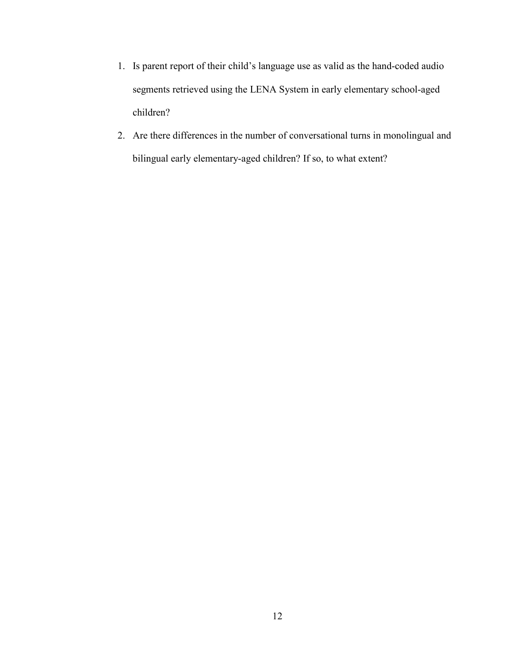- 1. Is parent report of their child's language use as valid as the hand-coded audio segments retrieved using the LENA System in early elementary school-aged children?
- 2. Are there differences in the number of conversational turns in monolingual and bilingual early elementary-aged children? If so, to what extent?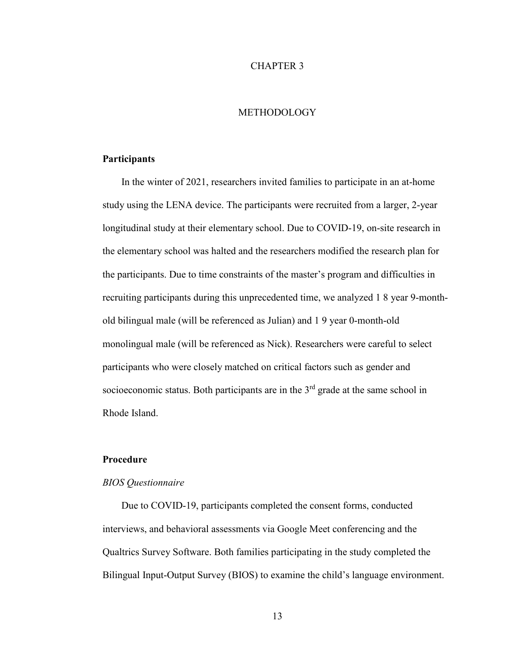# CHAPTER 3

# METHODOLOGY

### **Participants**

In the winter of 2021, researchers invited families to participate in an at-home study using the LENA device. The participants were recruited from a larger, 2-year longitudinal study at their elementary school. Due to COVID-19, on-site research in the elementary school was halted and the researchers modified the research plan for the participants. Due to time constraints of the master's program and difficulties in recruiting participants during this unprecedented time, we analyzed 1 8 year 9-monthold bilingual male (will be referenced as Julian) and 1 9 year 0-month-old monolingual male (will be referenced as Nick). Researchers were careful to select participants who were closely matched on critical factors such as gender and socioeconomic status. Both participants are in the 3<sup>rd</sup> grade at the same school in Rhode Island.

### **Procedure**

#### *BIOS Questionnaire*

Due to COVID-19, participants completed the consent forms, conducted interviews, and behavioral assessments via Google Meet conferencing and the Qualtrics Survey Software. Both families participating in the study completed the Bilingual Input-Output Survey (BIOS) to examine the child's language environment.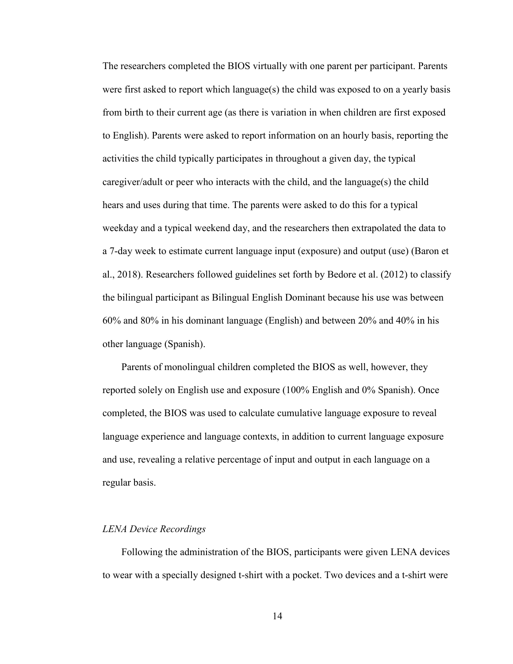The researchers completed the BIOS virtually with one parent per participant. Parents were first asked to report which language(s) the child was exposed to on a yearly basis from birth to their current age (as there is variation in when children are first exposed to English). Parents were asked to report information on an hourly basis, reporting the activities the child typically participates in throughout a given day, the typical caregiver/adult or peer who interacts with the child, and the language(s) the child hears and uses during that time. The parents were asked to do this for a typical weekday and a typical weekend day, and the researchers then extrapolated the data to a 7-day week to estimate current language input (exposure) and output (use) (Baron et al., 2018). Researchers followed guidelines set forth by Bedore et al. (2012) to classify the bilingual participant as Bilingual English Dominant because his use was between 60% and 80% in his dominant language (English) and between 20% and 40% in his other language (Spanish).

Parents of monolingual children completed the BIOS as well, however, they reported solely on English use and exposure (100% English and 0% Spanish). Once completed, the BIOS was used to calculate cumulative language exposure to reveal language experience and language contexts, in addition to current language exposure and use, revealing a relative percentage of input and output in each language on a regular basis.

#### *LENA Device Recordings*

Following the administration of the BIOS, participants were given LENA devices to wear with a specially designed t-shirt with a pocket. Two devices and a t-shirt were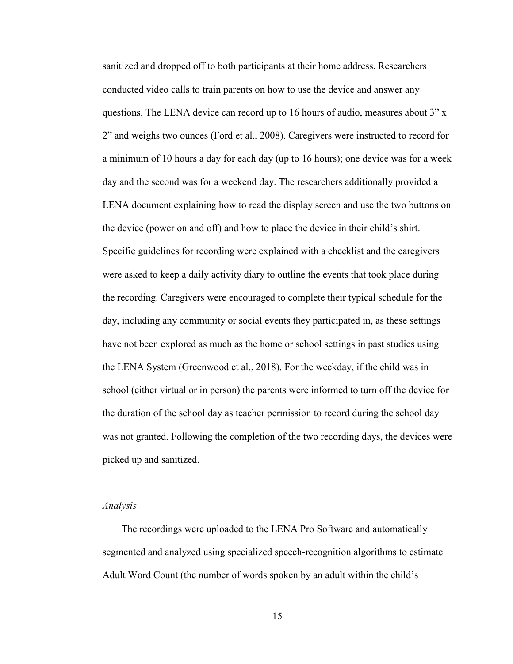sanitized and dropped off to both participants at their home address. Researchers conducted video calls to train parents on how to use the device and answer any questions. The LENA device can record up to 16 hours of audio, measures about 3" x 2" and weighs two ounces (Ford et al., 2008). Caregivers were instructed to record for a minimum of 10 hours a day for each day (up to 16 hours); one device was for a week day and the second was for a weekend day. The researchers additionally provided a LENA document explaining how to read the display screen and use the two buttons on the device (power on and off) and how to place the device in their child's shirt. Specific guidelines for recording were explained with a checklist and the caregivers were asked to keep a daily activity diary to outline the events that took place during the recording. Caregivers were encouraged to complete their typical schedule for the day, including any community or social events they participated in, as these settings have not been explored as much as the home or school settings in past studies using the LENA System (Greenwood et al., 2018). For the weekday, if the child was in school (either virtual or in person) the parents were informed to turn off the device for the duration of the school day as teacher permission to record during the school day was not granted. Following the completion of the two recording days, the devices were picked up and sanitized.

#### *Analysis*

The recordings were uploaded to the LENA Pro Software and automatically segmented and analyzed using specialized speech-recognition algorithms to estimate Adult Word Count (the number of words spoken by an adult within the child's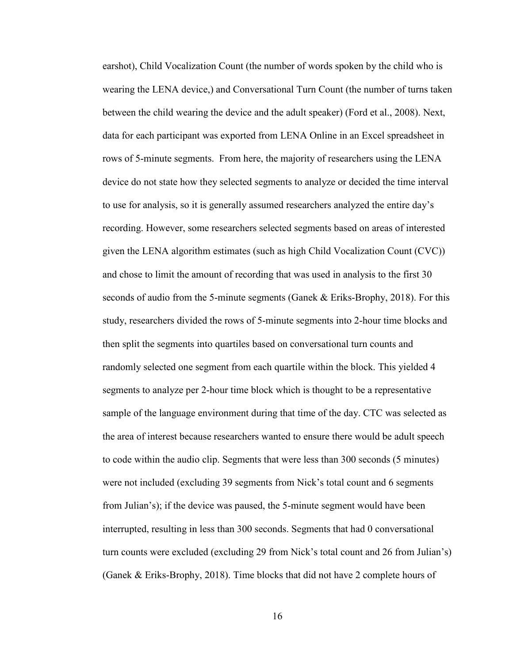earshot), Child Vocalization Count (the number of words spoken by the child who is wearing the LENA device,) and Conversational Turn Count (the number of turns taken between the child wearing the device and the adult speaker) (Ford et al., 2008). Next, data for each participant was exported from LENA Online in an Excel spreadsheet in rows of 5-minute segments. From here, the majority of researchers using the LENA device do not state how they selected segments to analyze or decided the time interval to use for analysis, so it is generally assumed researchers analyzed the entire day's recording. However, some researchers selected segments based on areas of interested given the LENA algorithm estimates (such as high Child Vocalization Count (CVC)) and chose to limit the amount of recording that was used in analysis to the first 30 seconds of audio from the 5-minute segments (Ganek & Eriks-Brophy, 2018). For this study, researchers divided the rows of 5-minute segments into 2-hour time blocks and then split the segments into quartiles based on conversational turn counts and randomly selected one segment from each quartile within the block. This yielded 4 segments to analyze per 2-hour time block which is thought to be a representative sample of the language environment during that time of the day. CTC was selected as the area of interest because researchers wanted to ensure there would be adult speech to code within the audio clip. Segments that were less than 300 seconds (5 minutes) were not included (excluding 39 segments from Nick's total count and 6 segments from Julian's); if the device was paused, the 5-minute segment would have been interrupted, resulting in less than 300 seconds. Segments that had 0 conversational turn counts were excluded (excluding 29 from Nick's total count and 26 from Julian's) (Ganek & Eriks-Brophy, 2018). Time blocks that did not have 2 complete hours of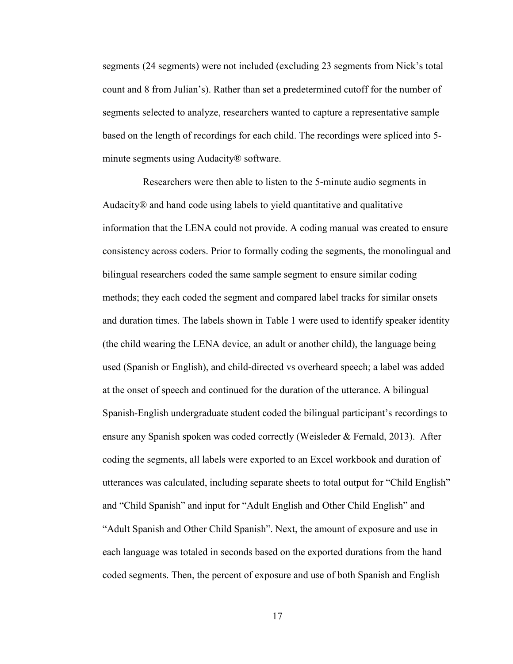segments (24 segments) were not included (excluding 23 segments from Nick's total count and 8 from Julian's). Rather than set a predetermined cutoff for the number of segments selected to analyze, researchers wanted to capture a representative sample based on the length of recordings for each child. The recordings were spliced into 5 minute segments using Audacity® software.

 Researchers were then able to listen to the 5-minute audio segments in Audacity® and hand code using labels to yield quantitative and qualitative information that the LENA could not provide. A coding manual was created to ensure consistency across coders. Prior to formally coding the segments, the monolingual and bilingual researchers coded the same sample segment to ensure similar coding methods; they each coded the segment and compared label tracks for similar onsets and duration times. The labels shown in Table 1 were used to identify speaker identity (the child wearing the LENA device, an adult or another child), the language being used (Spanish or English), and child-directed vs overheard speech; a label was added at the onset of speech and continued for the duration of the utterance. A bilingual Spanish-English undergraduate student coded the bilingual participant's recordings to ensure any Spanish spoken was coded correctly (Weisleder & Fernald, 2013). After coding the segments, all labels were exported to an Excel workbook and duration of utterances was calculated, including separate sheets to total output for "Child English" and "Child Spanish" and input for "Adult English and Other Child English" and "Adult Spanish and Other Child Spanish". Next, the amount of exposure and use in each language was totaled in seconds based on the exported durations from the hand coded segments. Then, the percent of exposure and use of both Spanish and English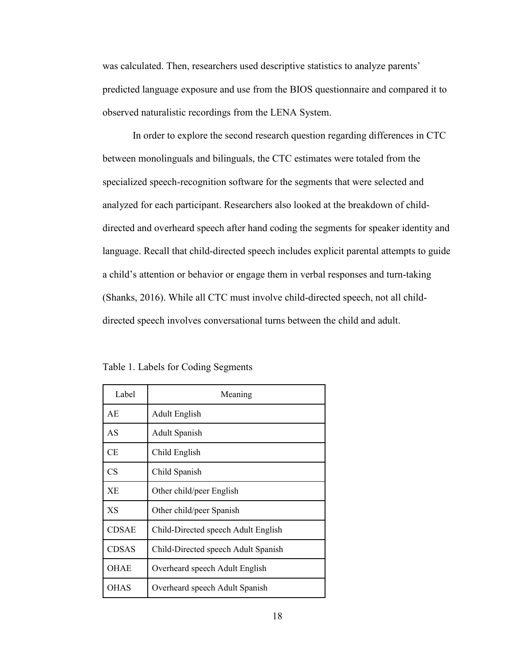was calculated. Then, researchers used descriptive statistics to analyze parents' predicted language exposure and use from the BIOS questionnaire and compared it to observed naturalistic recordings from the LENA System.

 In order to explore the second research question regarding differences in CTC between monolinguals and bilinguals, the CTC estimates were totaled from the specialized speech-recognition software for the segments that were selected and analyzed for each participant. Researchers also looked at the breakdown of childdirected and overheard speech after hand coding the segments for speaker identity and language. Recall that child-directed speech includes explicit parental attempts to guide a child's attention or behavior or engage them in verbal responses and turn-taking (Shanks, 2016). While all CTC must involve child-directed speech, not all childdirected speech involves conversational turns between the child and adult.

|  |  |  |  |  |  | Table 1. Labels for Coding Segments |
|--|--|--|--|--|--|-------------------------------------|
|--|--|--|--|--|--|-------------------------------------|

| Label        | Meaning                             |
|--------------|-------------------------------------|
| AE.          | <b>Adult English</b>                |
| AS           | <b>Adult Spanish</b>                |
| CE           | Child English                       |
| CS           | Child Spanish                       |
| XE.          | Other child/peer English            |
| XS           | Other child/peer Spanish            |
| <b>CDSAE</b> | Child-Directed speech Adult English |
| <b>CDSAS</b> | Child-Directed speech Adult Spanish |
| <b>OHAE</b>  | Overheard speech Adult English      |
| <b>OHAS</b>  | Overheard speech Adult Spanish      |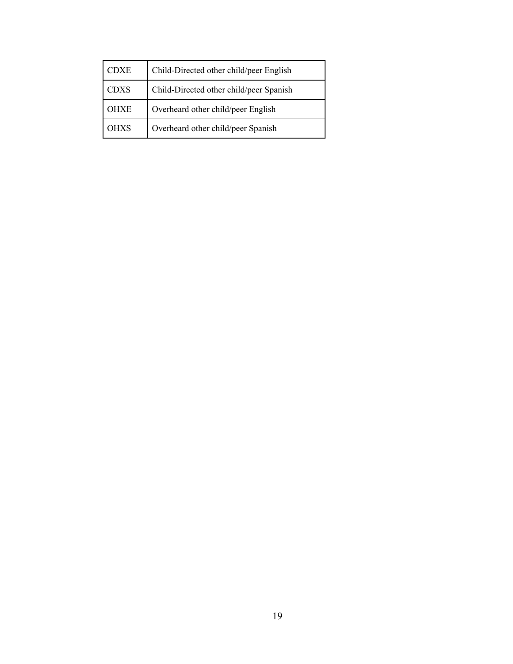| TDXE        | Child-Directed other child/peer English |
|-------------|-----------------------------------------|
| <b>CDXS</b> | Child-Directed other child/peer Spanish |
| OHXE        | Overheard other child/peer English      |
| OHXS        | Overheard other child/peer Spanish      |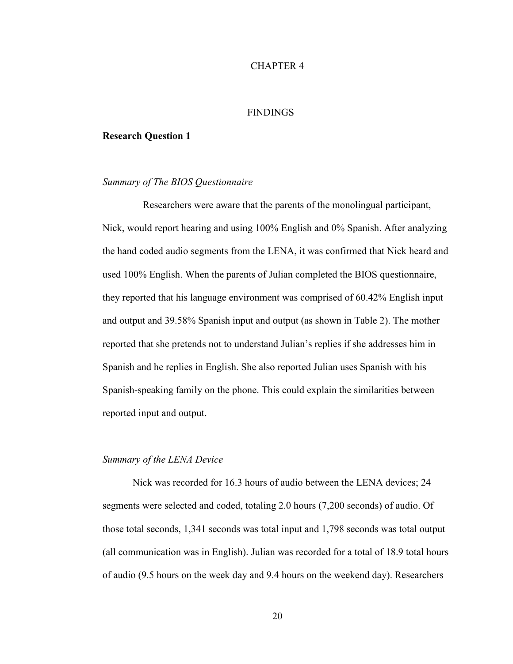# CHAPTER 4

#### **FINDINGS**

#### **Research Question 1**

# *Summary of The BIOS Questionnaire*

 Researchers were aware that the parents of the monolingual participant, Nick, would report hearing and using 100% English and 0% Spanish. After analyzing the hand coded audio segments from the LENA, it was confirmed that Nick heard and used 100% English. When the parents of Julian completed the BIOS questionnaire, they reported that his language environment was comprised of 60.42% English input and output and 39.58% Spanish input and output (as shown in Table 2). The mother reported that she pretends not to understand Julian's replies if she addresses him in Spanish and he replies in English. She also reported Julian uses Spanish with his Spanish-speaking family on the phone. This could explain the similarities between reported input and output.

### *Summary of the LENA Device*

Nick was recorded for 16.3 hours of audio between the LENA devices; 24 segments were selected and coded, totaling 2.0 hours (7,200 seconds) of audio. Of those total seconds, 1,341 seconds was total input and 1,798 seconds was total output (all communication was in English). Julian was recorded for a total of 18.9 total hours of audio (9.5 hours on the week day and 9.4 hours on the weekend day). Researchers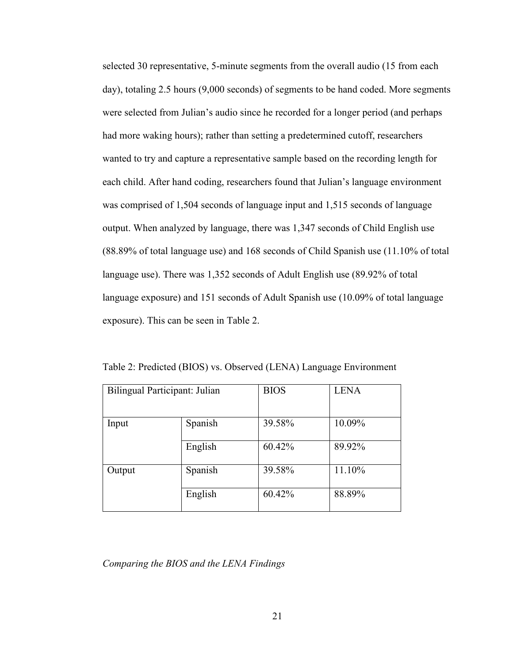selected 30 representative, 5-minute segments from the overall audio (15 from each day), totaling 2.5 hours (9,000 seconds) of segments to be hand coded. More segments were selected from Julian's audio since he recorded for a longer period (and perhaps had more waking hours); rather than setting a predetermined cutoff, researchers wanted to try and capture a representative sample based on the recording length for each child. After hand coding, researchers found that Julian's language environment was comprised of 1,504 seconds of language input and 1,515 seconds of language output. When analyzed by language, there was 1,347 seconds of Child English use (88.89% of total language use) and 168 seconds of Child Spanish use (11.10% of total language use). There was 1,352 seconds of Adult English use (89.92% of total language exposure) and 151 seconds of Adult Spanish use (10.09% of total language exposure). This can be seen in Table 2.

| Bilingual Participant: Julian |         | <b>BIOS</b> | <b>LENA</b> |
|-------------------------------|---------|-------------|-------------|
| Input                         | Spanish | 39.58%      | 10.09%      |
|                               | English | 60.42%      | 89.92%      |
| Output                        | Spanish | 39.58%      | 11.10%      |
|                               | English | 60.42%      | 88.89%      |

Table 2: Predicted (BIOS) vs. Observed (LENA) Language Environment

*Comparing the BIOS and the LENA Findings*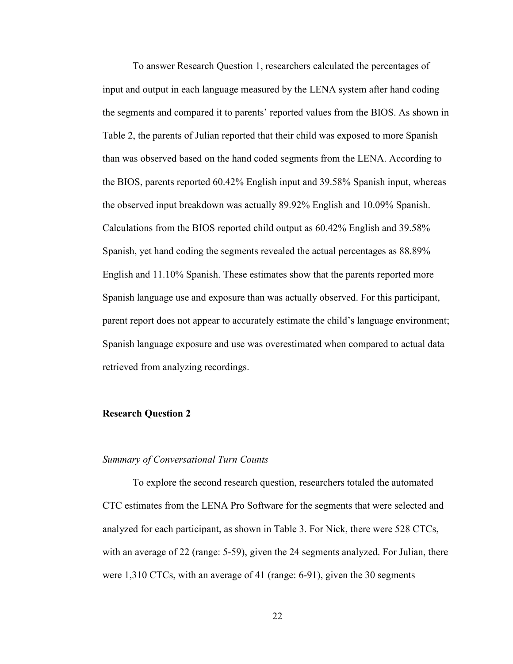To answer Research Question 1, researchers calculated the percentages of input and output in each language measured by the LENA system after hand coding the segments and compared it to parents' reported values from the BIOS. As shown in Table 2, the parents of Julian reported that their child was exposed to more Spanish than was observed based on the hand coded segments from the LENA. According to the BIOS, parents reported 60.42% English input and 39.58% Spanish input, whereas the observed input breakdown was actually 89.92% English and 10.09% Spanish. Calculations from the BIOS reported child output as 60.42% English and 39.58% Spanish, yet hand coding the segments revealed the actual percentages as 88.89% English and 11.10% Spanish. These estimates show that the parents reported more Spanish language use and exposure than was actually observed. For this participant, parent report does not appear to accurately estimate the child's language environment; Spanish language exposure and use was overestimated when compared to actual data retrieved from analyzing recordings.

#### **Research Question 2**

#### *Summary of Conversational Turn Counts*

To explore the second research question, researchers totaled the automated CTC estimates from the LENA Pro Software for the segments that were selected and analyzed for each participant, as shown in Table 3. For Nick, there were 528 CTCs, with an average of 22 (range: 5-59), given the 24 segments analyzed. For Julian, there were 1,310 CTCs, with an average of 41 (range: 6-91), given the 30 segments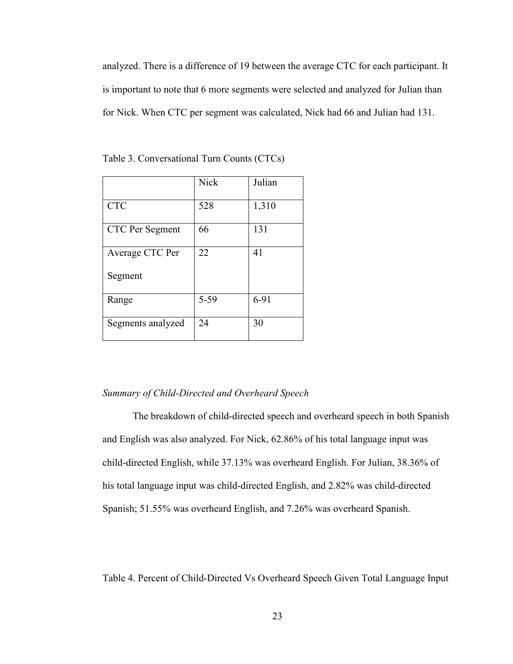analyzed. There is a difference of 19 between the average CTC for each participant. It is important to note that 6 more segments were selected and analyzed for Julian than for Nick. When CTC per segment was calculated, Nick had 66 and Julian had 131.

|                   | <b>Nick</b> | Julian |
|-------------------|-------------|--------|
| <b>CTC</b>        | 528         | 1,310  |
| CTC Per Segment   | 66          | 131    |
| Average CTC Per   | 22          | 41     |
| Segment           |             |        |
| Range             | $5 - 59$    | $6-91$ |
| Segments analyzed | 24          | 30     |

Table 3. Conversational Turn Counts (CTCs)

# *Summary of Child-Directed and Overheard Speech*

The breakdown of child-directed speech and overheard speech in both Spanish and English was also analyzed. For Nick, 62.86% of his total language input was child-directed English, while 37.13% was overheard English. For Julian, 38.36% of his total language input was child-directed English, and 2.82% was child-directed Spanish; 51.55% was overheard English, and 7.26% was overheard Spanish.

Table 4. Percent of Child-Directed Vs Overheard Speech Given Total Language Input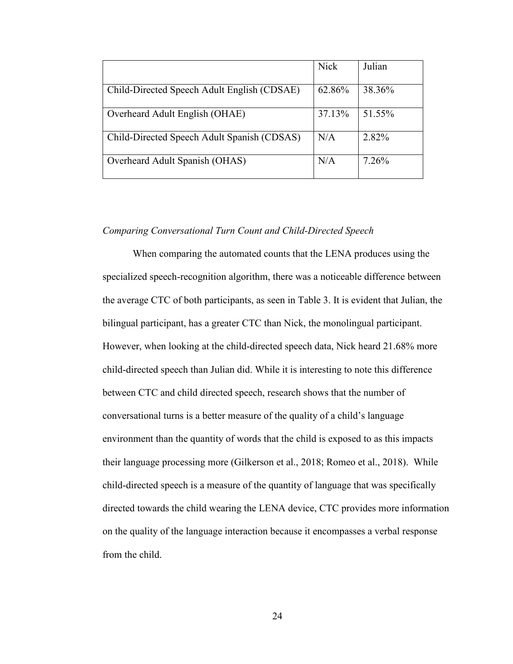|                                             | <b>Nick</b> | Julian |
|---------------------------------------------|-------------|--------|
| Child-Directed Speech Adult English (CDSAE) | 62.86%      | 38.36% |
| Overheard Adult English (OHAE)              | 37.13%      | 51.55% |
| Child-Directed Speech Adult Spanish (CDSAS) | N/A         | 2.82%  |
| Overheard Adult Spanish (OHAS)              | N/A         | 7.26%  |

# *Comparing Conversational Turn Count and Child-Directed Speech*

When comparing the automated counts that the LENA produces using the specialized speech-recognition algorithm, there was a noticeable difference between the average CTC of both participants, as seen in Table 3. It is evident that Julian, the bilingual participant, has a greater CTC than Nick, the monolingual participant. However, when looking at the child-directed speech data, Nick heard 21.68% more child-directed speech than Julian did. While it is interesting to note this difference between CTC and child directed speech, research shows that the number of conversational turns is a better measure of the quality of a child's language environment than the quantity of words that the child is exposed to as this impacts their language processing more (Gilkerson et al., 2018; Romeo et al., 2018). While child-directed speech is a measure of the quantity of language that was specifically directed towards the child wearing the LENA device, CTC provides more information on the quality of the language interaction because it encompasses a verbal response from the child.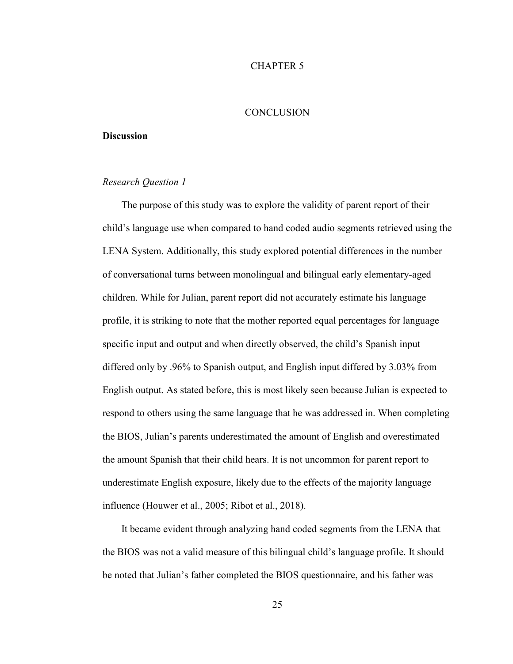## CHAPTER 5

# **CONCLUSION**

#### **Discussion**

# *Research Question 1*

The purpose of this study was to explore the validity of parent report of their child's language use when compared to hand coded audio segments retrieved using the LENA System. Additionally, this study explored potential differences in the number of conversational turns between monolingual and bilingual early elementary-aged children. While for Julian, parent report did not accurately estimate his language profile, it is striking to note that the mother reported equal percentages for language specific input and output and when directly observed, the child's Spanish input differed only by .96% to Spanish output, and English input differed by 3.03% from English output. As stated before, this is most likely seen because Julian is expected to respond to others using the same language that he was addressed in. When completing the BIOS, Julian's parents underestimated the amount of English and overestimated the amount Spanish that their child hears. It is not uncommon for parent report to underestimate English exposure, likely due to the effects of the majority language influence (Houwer et al., 2005; Ribot et al., 2018).

It became evident through analyzing hand coded segments from the LENA that the BIOS was not a valid measure of this bilingual child's language profile. It should be noted that Julian's father completed the BIOS questionnaire, and his father was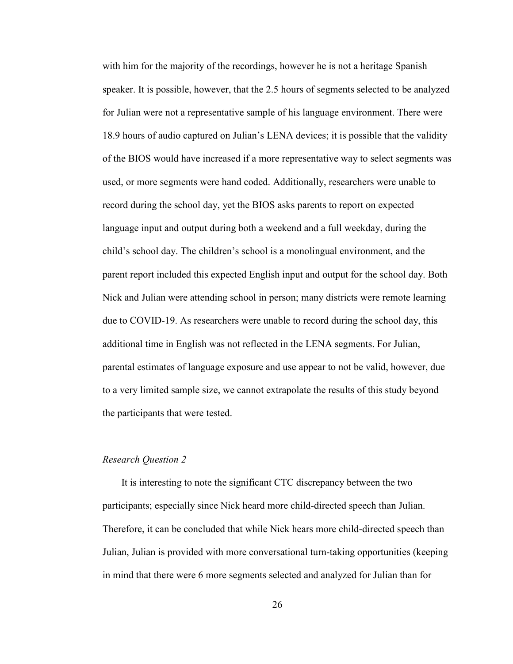with him for the majority of the recordings, however he is not a heritage Spanish speaker. It is possible, however, that the 2.5 hours of segments selected to be analyzed for Julian were not a representative sample of his language environment. There were 18.9 hours of audio captured on Julian's LENA devices; it is possible that the validity of the BIOS would have increased if a more representative way to select segments was used, or more segments were hand coded. Additionally, researchers were unable to record during the school day, yet the BIOS asks parents to report on expected language input and output during both a weekend and a full weekday, during the child's school day. The children's school is a monolingual environment, and the parent report included this expected English input and output for the school day. Both Nick and Julian were attending school in person; many districts were remote learning due to COVID-19. As researchers were unable to record during the school day, this additional time in English was not reflected in the LENA segments. For Julian, parental estimates of language exposure and use appear to not be valid, however, due to a very limited sample size, we cannot extrapolate the results of this study beyond the participants that were tested.

# *Research Question 2*

It is interesting to note the significant CTC discrepancy between the two participants; especially since Nick heard more child-directed speech than Julian. Therefore, it can be concluded that while Nick hears more child-directed speech than Julian, Julian is provided with more conversational turn-taking opportunities (keeping in mind that there were 6 more segments selected and analyzed for Julian than for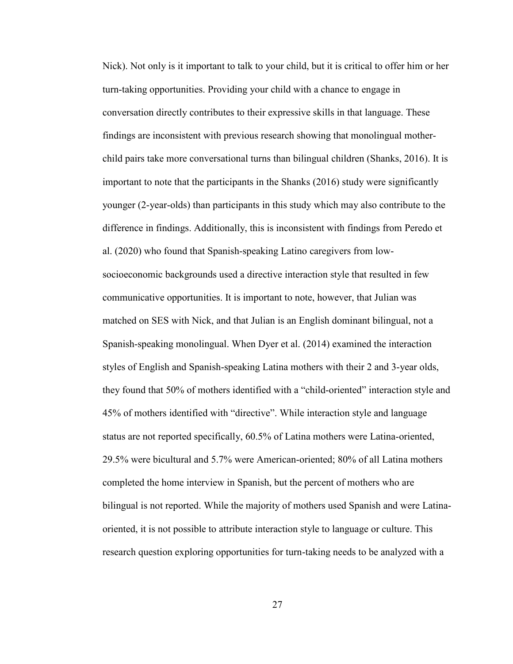Nick). Not only is it important to talk to your child, but it is critical to offer him or her turn-taking opportunities. Providing your child with a chance to engage in conversation directly contributes to their expressive skills in that language. These findings are inconsistent with previous research showing that monolingual motherchild pairs take more conversational turns than bilingual children (Shanks, 2016). It is important to note that the participants in the Shanks (2016) study were significantly younger (2-year-olds) than participants in this study which may also contribute to the difference in findings. Additionally, this is inconsistent with findings from Peredo et al. (2020) who found that Spanish-speaking Latino caregivers from lowsocioeconomic backgrounds used a directive interaction style that resulted in few communicative opportunities. It is important to note, however, that Julian was matched on SES with Nick, and that Julian is an English dominant bilingual, not a Spanish-speaking monolingual. When Dyer et al. (2014) examined the interaction styles of English and Spanish-speaking Latina mothers with their 2 and 3-year olds, they found that 50% of mothers identified with a "child-oriented" interaction style and 45% of mothers identified with "directive". While interaction style and language status are not reported specifically, 60.5% of Latina mothers were Latina-oriented, 29.5% were bicultural and 5.7% were American-oriented; 80% of all Latina mothers completed the home interview in Spanish, but the percent of mothers who are bilingual is not reported. While the majority of mothers used Spanish and were Latinaoriented, it is not possible to attribute interaction style to language or culture. This research question exploring opportunities for turn-taking needs to be analyzed with a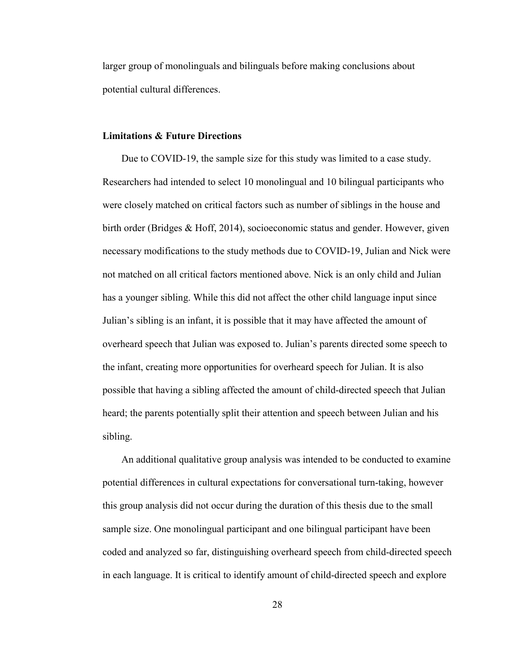larger group of monolinguals and bilinguals before making conclusions about potential cultural differences.

#### **Limitations & Future Directions**

Due to COVID-19, the sample size for this study was limited to a case study. Researchers had intended to select 10 monolingual and 10 bilingual participants who were closely matched on critical factors such as number of siblings in the house and birth order (Bridges & Hoff, 2014), socioeconomic status and gender. However, given necessary modifications to the study methods due to COVID-19, Julian and Nick were not matched on all critical factors mentioned above. Nick is an only child and Julian has a younger sibling. While this did not affect the other child language input since Julian's sibling is an infant, it is possible that it may have affected the amount of overheard speech that Julian was exposed to. Julian's parents directed some speech to the infant, creating more opportunities for overheard speech for Julian. It is also possible that having a sibling affected the amount of child-directed speech that Julian heard; the parents potentially split their attention and speech between Julian and his sibling.

An additional qualitative group analysis was intended to be conducted to examine potential differences in cultural expectations for conversational turn-taking, however this group analysis did not occur during the duration of this thesis due to the small sample size. One monolingual participant and one bilingual participant have been coded and analyzed so far, distinguishing overheard speech from child-directed speech in each language. It is critical to identify amount of child-directed speech and explore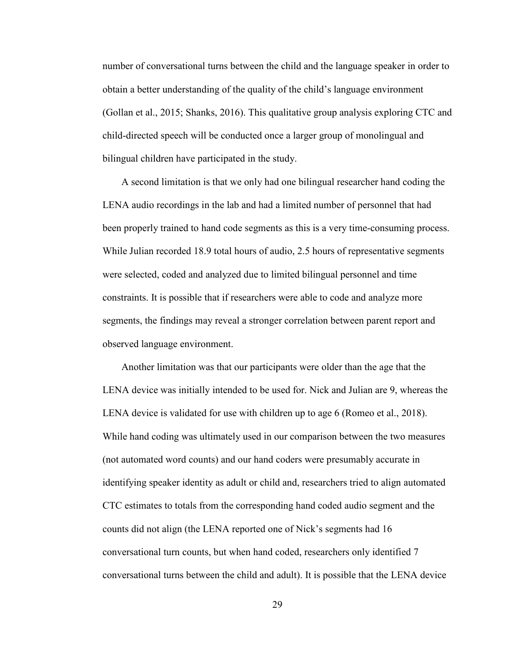number of conversational turns between the child and the language speaker in order to obtain a better understanding of the quality of the child's language environment (Gollan et al., 2015; Shanks, 2016). This qualitative group analysis exploring CTC and child-directed speech will be conducted once a larger group of monolingual and bilingual children have participated in the study.

A second limitation is that we only had one bilingual researcher hand coding the LENA audio recordings in the lab and had a limited number of personnel that had been properly trained to hand code segments as this is a very time-consuming process. While Julian recorded 18.9 total hours of audio, 2.5 hours of representative segments were selected, coded and analyzed due to limited bilingual personnel and time constraints. It is possible that if researchers were able to code and analyze more segments, the findings may reveal a stronger correlation between parent report and observed language environment.

Another limitation was that our participants were older than the age that the LENA device was initially intended to be used for. Nick and Julian are 9, whereas the LENA device is validated for use with children up to age 6 (Romeo et al., 2018). While hand coding was ultimately used in our comparison between the two measures (not automated word counts) and our hand coders were presumably accurate in identifying speaker identity as adult or child and, researchers tried to align automated CTC estimates to totals from the corresponding hand coded audio segment and the counts did not align (the LENA reported one of Nick's segments had 16 conversational turn counts, but when hand coded, researchers only identified 7 conversational turns between the child and adult). It is possible that the LENA device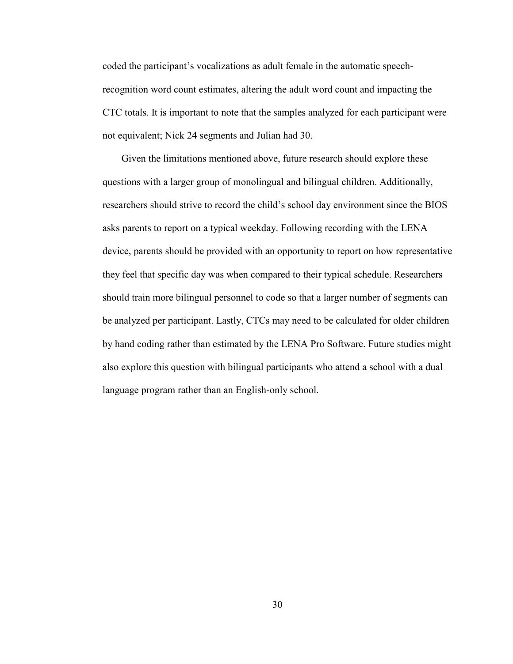coded the participant's vocalizations as adult female in the automatic speechrecognition word count estimates, altering the adult word count and impacting the CTC totals. It is important to note that the samples analyzed for each participant were not equivalent; Nick 24 segments and Julian had 30.

Given the limitations mentioned above, future research should explore these questions with a larger group of monolingual and bilingual children. Additionally, researchers should strive to record the child's school day environment since the BIOS asks parents to report on a typical weekday. Following recording with the LENA device, parents should be provided with an opportunity to report on how representative they feel that specific day was when compared to their typical schedule. Researchers should train more bilingual personnel to code so that a larger number of segments can be analyzed per participant. Lastly, CTCs may need to be calculated for older children by hand coding rather than estimated by the LENA Pro Software. Future studies might also explore this question with bilingual participants who attend a school with a dual language program rather than an English-only school.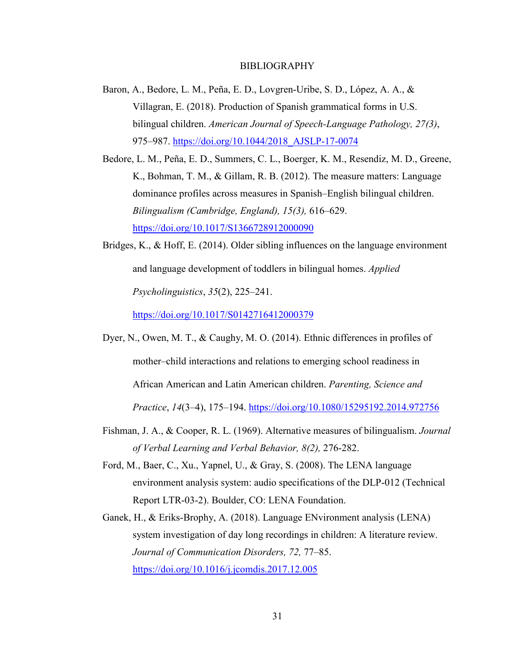#### BIBLIOGRAPHY

- Baron, A., Bedore, L. M., Peña, E. D., Lovgren-Uribe, S. D., López, A. A., & Villagran, E. (2018). Production of Spanish grammatical forms in U.S. bilingual children. *American Journal of Speech-Language Pathology, 27(3)*, 975–987. https://doi.org/10.1044/2018\_AJSLP-17-0074
- Bedore, L. M., Peña, E. D., Summers, C. L., Boerger, K. M., Resendiz, M. D., Greene, K., Bohman, T. M., & Gillam, R. B. (2012). The measure matters: Language dominance profiles across measures in Spanish–English bilingual children. *Bilingualism (Cambridge, England), 15(3),* 616–629. https://doi.org/10.1017/S1366728912000090
- Bridges, K., & Hoff, E. (2014). Older sibling influences on the language environment and language development of toddlers in bilingual homes. *Applied Psycholinguistics*, *35*(2), 225–241.

https://doi.org/10.1017/S0142716412000379

- Dyer, N., Owen, M. T., & Caughy, M. O. (2014). Ethnic differences in profiles of mother–child interactions and relations to emerging school readiness in African American and Latin American children. *Parenting, Science and Practice*, *14*(3–4), 175–194. https://doi.org/10.1080/15295192.2014.972756
- Fishman, J. A., & Cooper, R. L. (1969). Alternative measures of bilingualism. *Journal of Verbal Learning and Verbal Behavior, 8(2),* 276-282.
- Ford, M., Baer, C., Xu., Yapnel, U., & Gray, S. (2008). The LENA language environment analysis system: audio specifications of the DLP-012 (Technical Report LTR-03-2). Boulder, CO: LENA Foundation.
- Ganek, H., & Eriks-Brophy, A. (2018). Language ENvironment analysis (LENA) system investigation of day long recordings in children: A literature review. *Journal of Communication Disorders, 72,* 77–85. https://doi.org/10.1016/j.jcomdis.2017.12.005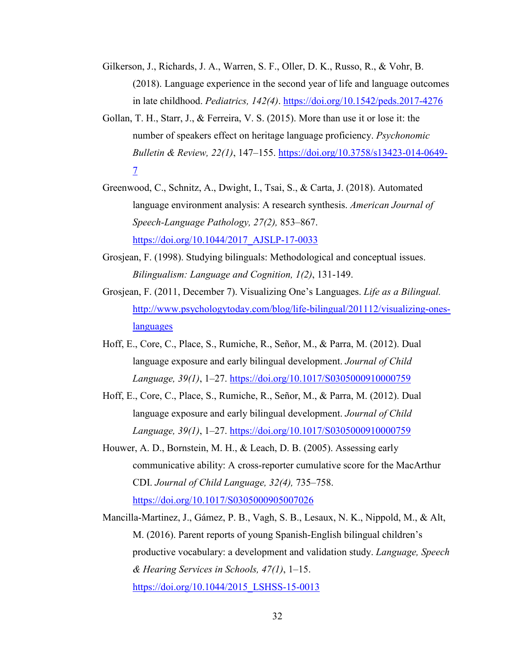- Gilkerson, J., Richards, J. A., Warren, S. F., Oller, D. K., Russo, R., & Vohr, B. (2018). Language experience in the second year of life and language outcomes in late childhood. *Pediatrics, 142(4)*. https://doi.org/10.1542/peds.2017-4276
- Gollan, T. H., Starr, J., & Ferreira, V. S. (2015). More than use it or lose it: the number of speakers effect on heritage language proficiency. *Psychonomic Bulletin & Review, 22(1)*, 147–155. https://doi.org/10.3758/s13423-014-0649- 7
- Greenwood, C., Schnitz, A., Dwight, I., Tsai, S., & Carta, J. (2018). Automated language environment analysis: A research synthesis. *American Journal of Speech-Language Pathology, 27(2),* 853–867. https://doi.org/10.1044/2017\_AJSLP-17-0033
- Grosjean, F. (1998). Studying bilinguals: Methodological and conceptual issues. *Bilingualism: Language and Cognition, 1(2)*, 131-149.
- Grosjean, F. (2011, December 7). Visualizing One's Languages. *Life as a Bilingual.*  http://www.psychologytoday.com/blog/life-bilingual/201112/visualizing-oneslanguages
- Hoff, E., Core, C., Place, S., Rumiche, R., Señor, M., & Parra, M. (2012). Dual language exposure and early bilingual development. *Journal of Child Language, 39(1)*, 1–27. https://doi.org/10.1017/S0305000910000759
- Hoff, E., Core, C., Place, S., Rumiche, R., Señor, M., & Parra, M. (2012). Dual language exposure and early bilingual development. *Journal of Child Language, 39(1)*, 1–27. https://doi.org/10.1017/S0305000910000759
- Houwer, A. D., Bornstein, M. H., & Leach, D. B. (2005). Assessing early communicative ability: A cross-reporter cumulative score for the MacArthur CDI. *Journal of Child Language, 32(4),* 735–758. https://doi.org/10.1017/S0305000905007026
- Mancilla-Martinez, J., Gámez, P. B., Vagh, S. B., Lesaux, N. K., Nippold, M., & Alt, M. (2016). Parent reports of young Spanish-English bilingual children's productive vocabulary: a development and validation study. *Language, Speech & Hearing Services in Schools, 47(1)*, 1–15. https://doi.org/10.1044/2015 LSHSS-15-0013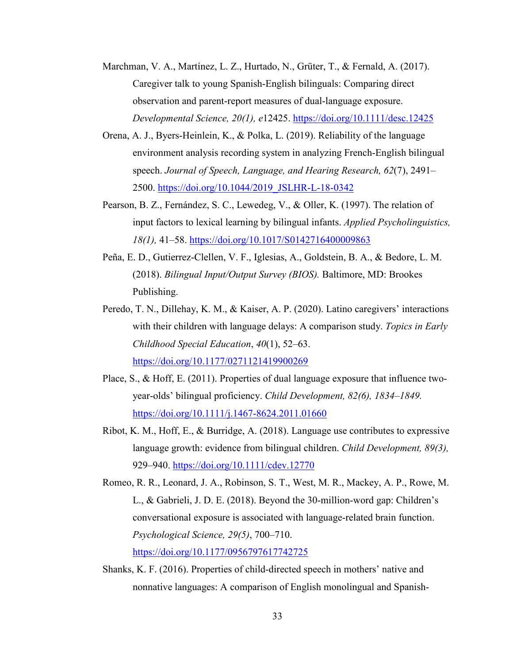- Marchman, V. A., Martínez, L. Z., Hurtado, N., Grüter, T., & Fernald, A. (2017). Caregiver talk to young Spanish-English bilinguals: Comparing direct observation and parent-report measures of dual-language exposure. *Developmental Science, 20(1), e*12425. https://doi.org/10.1111/desc.12425
- Orena, A. J., Byers-Heinlein, K., & Polka, L. (2019). Reliability of the language environment analysis recording system in analyzing French-English bilingual speech. *Journal of Speech, Language, and Hearing Research, 62*(7), 2491– 2500. https://doi.org/10.1044/2019\_JSLHR-L-18-0342
- Pearson, B. Z., Fernández, S. C., Lewedeg, V., & Oller, K. (1997). The relation of input factors to lexical learning by bilingual infants. *Applied Psycholinguistics, 18(1),* 41–58. https://doi.org/10.1017/S0142716400009863
- Peña, E. D., Gutierrez-Clellen, V. F., Iglesias, A., Goldstein, B. A., & Bedore, L. M. (2018). *Bilingual Input/Output Survey (BIOS).* Baltimore, MD: Brookes Publishing.
- Peredo, T. N., Dillehay, K. M., & Kaiser, A. P. (2020). Latino caregivers' interactions with their children with language delays: A comparison study. *Topics in Early Childhood Special Education*, *40*(1), 52–63. https://doi.org/10.1177/0271121419900269
- Place, S., & Hoff, E. (2011). Properties of dual language exposure that influence twoyear-olds' bilingual proficiency. *Child Development, 82(6), 1834–1849.*  https://doi.org/10.1111/j.1467-8624.2011.01660
- Ribot, K. M., Hoff, E., & Burridge, A. (2018). Language use contributes to expressive language growth: evidence from bilingual children. *Child Development, 89(3),* 929–940. https://doi.org/10.1111/cdev.12770
- Romeo, R. R., Leonard, J. A., Robinson, S. T., West, M. R., Mackey, A. P., Rowe, M. L., & Gabrieli, J. D. E. (2018). Beyond the 30-million-word gap: Children's conversational exposure is associated with language-related brain function. *Psychological Science, 29(5)*, 700–710. https://doi.org/10.1177/0956797617742725
- Shanks, K. F. (2016). Properties of child-directed speech in mothers' native and nonnative languages: A comparison of English monolingual and Spanish-